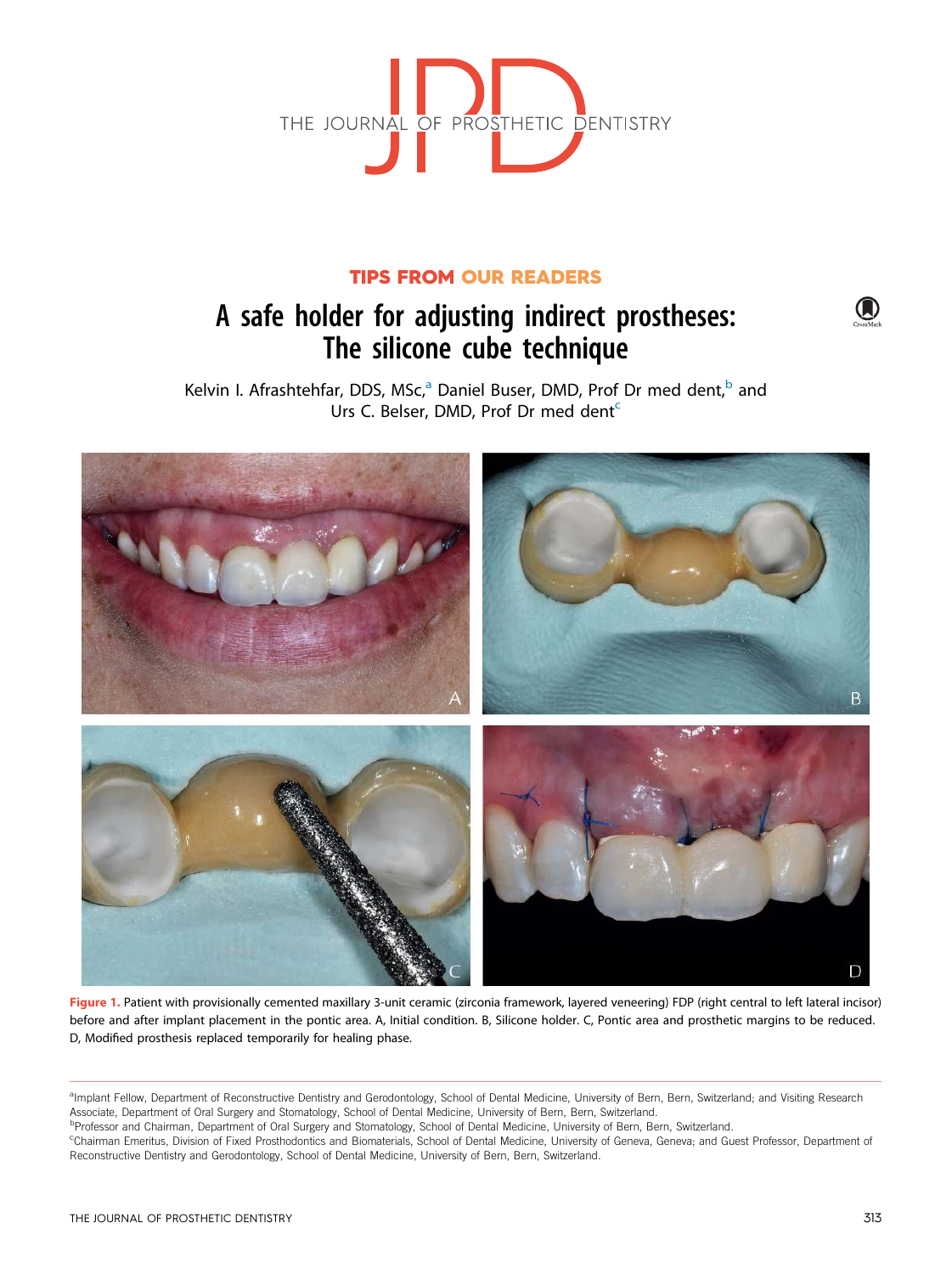

## TIPS FROM OUR READERS

# A safe holder for adjusting indirect prostheses: The silicone cube technique

Kelvin I. Afrashtehfar, DDS, MSc,<sup>a</sup> Daniel Buser, DMD, Prof Dr med dent,<sup>b</sup> and Urs C. Belser, DMD, Prof Dr med dent<sup>c</sup>



Figure 1. Patient with provisionally cemented maxillary 3-unit ceramic (zirconia framework, layered veneering) FDP (right central to left lateral incisor) before and after implant placement in the pontic area. A, Initial condition. B, Silicone holder. C, Pontic area and prosthetic margins to be reduced. D, Modified prosthesis replaced temporarily for healing phase.

<sup>a</sup>lmplant Fellow, Department of Reconstructive Dentistry and Gerodontology, School of Dental Medicine, University of Bern, Bern, Switzerland; and Visiting Research Associate, Department of Oral Surgery and Stomatology, School of Dental Medicine, University of Bern, Bern, Switzerland.

bProfessor and Chairman, Department of Oral Surgery and Stomatology, School of Dental Medicine, University of Bern, Bern, Switzerland.

<sup>c</sup>Chairman Emeritus, Division of Fixed Prosthodontics and Biomaterials, School of Dental Medicine, University of Geneva, Geneva; and Guest Professor, Department of Reconstructive Dentistry and Gerodontology, School of Dental Medicine, University of Bern, Bern, Switzerland.

(A)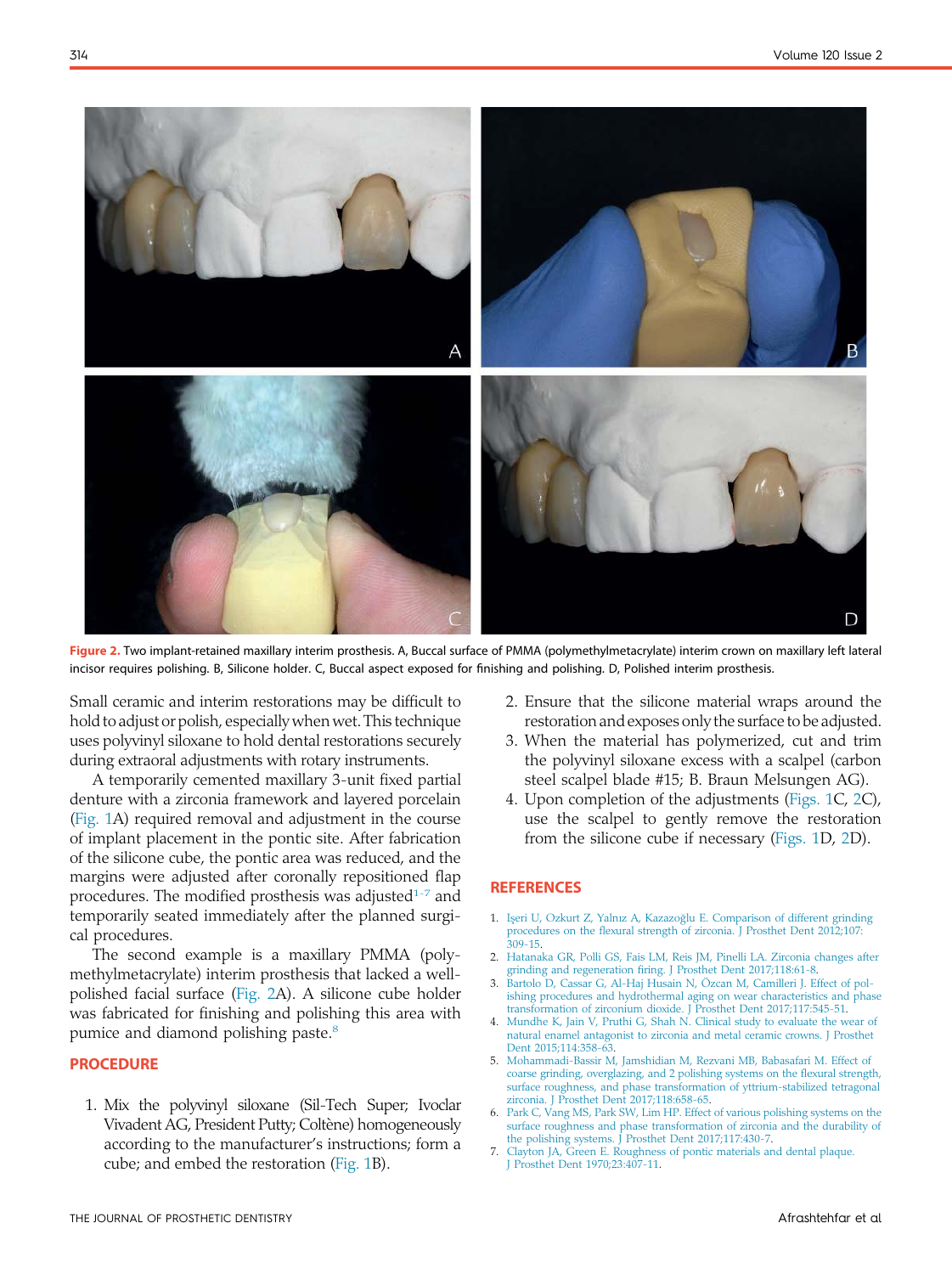

Figure 2. Two implant-retained maxillary interim prosthesis. A, Buccal surface of PMMA (polymethylmetacrylate) interim crown on maxillary left lateral incisor requires polishing. B, Silicone holder. C, Buccal aspect exposed for finishing and polishing. D, Polished interim prosthesis.

Small ceramic and interim restorations may be difficult to hold to adjust or polish, especially when wet. This technique uses polyvinyl siloxane to hold dental restorations securely during extraoral adjustments with rotary instruments.

A temporarily cemented maxillary 3-unit fixed partial denture with a zirconia framework and layered porcelain (Fig. 1A) required removal and adjustment in the course of implant placement in the pontic site. After fabrication of the silicone cube, the pontic area was reduced, and the margins were adjusted after coronally repositioned flap procedures. The modified prosthesis was adjusted $1-7$  and temporarily seated immediately after the planned surgical procedures.

The second example is a maxillary PMMA (polymethylmetacrylate) interim prosthesis that lacked a wellpolished facial surface (Fig. 2A). A silicone cube holder was fabricated for finishing and polishing this area with pumice and diamond polishing paste.<sup>8</sup>

### PROCEDURE

1. Mix the polyvinyl siloxane (Sil-Tech Super; Ivoclar Vivadent AG, President Putty; Coltène) homogeneously according to the manufacturer's instructions; form a cube; and embed the restoration (Fig. 1B).

- 2. Ensure that the silicone material wraps around the restoration and exposes only the surface to be adjusted.
- 3. When the material has polymerized, cut and trim the polyvinyl siloxane excess with a scalpel (carbon steel scalpel blade #15; B. Braun Melsungen AG).
- 4. Upon completion of the adjustments (Figs. 1C, 2C), use the scalpel to gently remove the restoration from the silicone cube if necessary (Figs. 1D, 2D).

#### **REFERENCES**

- 1. Işeri U, Ozkurt Z, Yalnız A, Kazazoğlu E. Comparison of different grinding procedures on the flexural strength of zirconia. J Prosthet Dent 2012;107: 309-15.
- 2. Hatanaka GR, Polli GS, Fais LM, Reis JM, Pinelli LA. Zirconia changes after grinding and regeneration firing. J Prosthet Dent 2017;118:61-8.
- 3. Bartolo D, Cassar G, Al-Haj Husain N, Özcan M, Camilleri J. Effect of polishing procedures and hydrothermal aging on wear characteristics and phase transformation of zirconium dioxide. J Prosthet Dent 2017;117:545-51.
- 4. Mundhe K, Jain V, Pruthi G, Shah N. Clinical study to evaluate the wear of natural enamel antagonist to zirconia and metal ceramic crowns. J Prosthet Dent 2015;114:358-63.
- 5. Mohammadi-Bassir M, Jamshidian M, Rezvani MB, Babasafari M. Effect of coarse grinding, overglazing, and 2 polishing systems on the flexural strength, surface roughness, and phase transformation of yttrium-stabilized tetragonal zirconia. J Prosthet Dent 2017;118:658-65.
- 6. Park C, Vang MS, Park SW, Lim HP. Effect of various polishing systems on the surface roughness and phase transformation of zirconia and the durability of the polishing systems. J Prosthet Dent 2017;117:430-7.
- 7. Clayton JA, Green E. Roughness of pontic materials and dental plaque. J Prosthet Dent 1970;23:407-11.